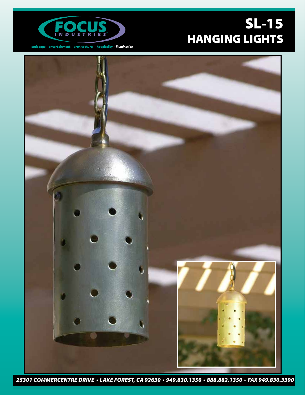

 $\label{lem:convergence} \textsf{landscope}\,\cdot\,\textsf{entertainment}\,\cdot\,\textsf{architectural}\,\cdot\,\textsf{hospitality}\,\cdot\,\textsf{illumination}$ 

## SL-15 HANGING LIGHTS



*25301 COMMERCENTRE DRIVE LAKE FOREST, CA 92630 949.830.1350 888.882.1350 FAX 949.830.3390*